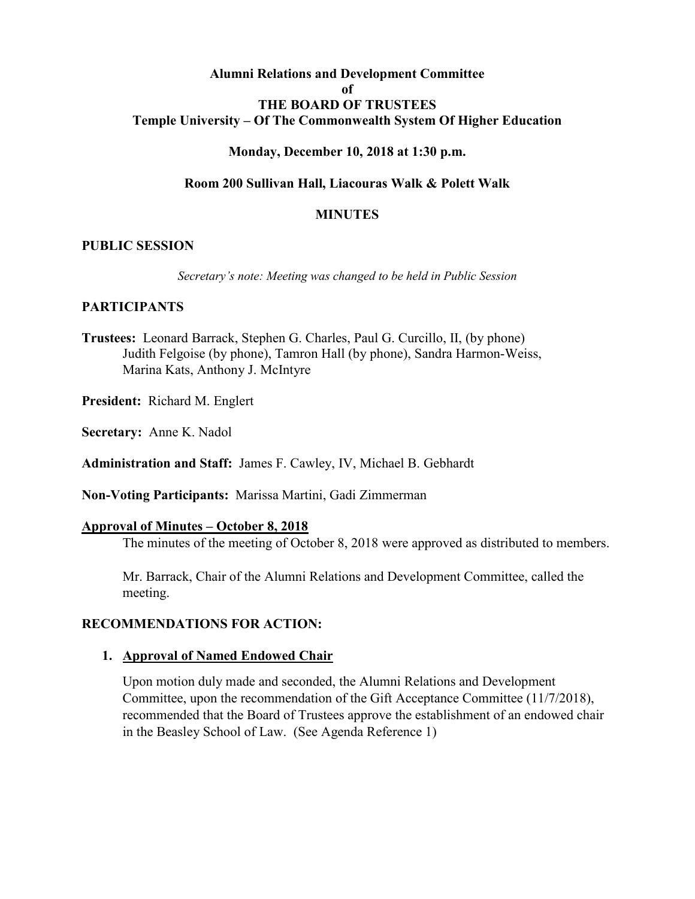#### **Alumni Relations and Development Committee of THE BOARD OF TRUSTEES Temple University – Of The Commonwealth System Of Higher Education**

#### **Monday, December 10, 2018 at 1:30 p.m.**

#### **Room 200 Sullivan Hall, Liacouras Walk & Polett Walk**

#### **MINUTES**

#### **PUBLIC SESSION**

*Secretary's note: Meeting was changed to be held in Public Session*

### **PARTICIPANTS**

- **Trustees:** Leonard Barrack, Stephen G. Charles, Paul G. Curcillo, II, (by phone) Judith Felgoise (by phone), Tamron Hall (by phone), Sandra Harmon-Weiss, Marina Kats, Anthony J. McIntyre
- **President:** Richard M. Englert
- **Secretary:** Anne K. Nadol

**Administration and Staff:** James F. Cawley, IV, Michael B. Gebhardt

**Non-Voting Participants:** Marissa Martini, Gadi Zimmerman

#### **Approval of Minutes – October 8, 2018**

The minutes of the meeting of October 8, 2018 were approved as distributed to members.

Mr. Barrack, Chair of the Alumni Relations and Development Committee, called the meeting.

#### **RECOMMENDATIONS FOR ACTION:**

#### **1. Approval of Named Endowed Chair**

Upon motion duly made and seconded, the Alumni Relations and Development Committee, upon the recommendation of the Gift Acceptance Committee (11/7/2018), recommended that the Board of Trustees approve the establishment of an endowed chair in the Beasley School of Law. (See Agenda Reference 1)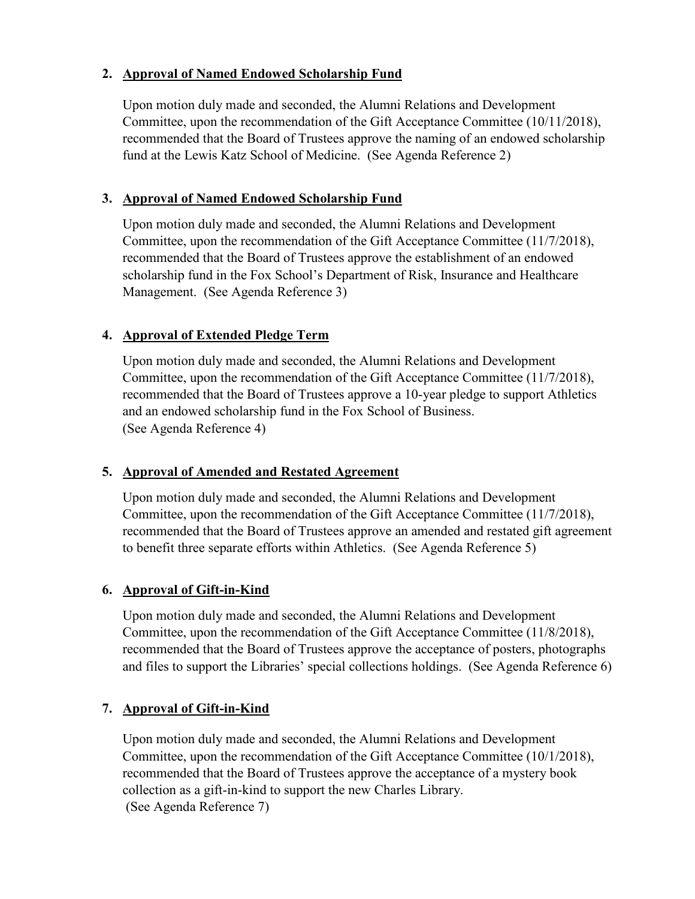## **2. Approval of Named Endowed Scholarship Fund**

Upon motion duly made and seconded, the Alumni Relations and Development Committee, upon the recommendation of the Gift Acceptance Committee (10/11/2018), recommended that the Board of Trustees approve the naming of an endowed scholarship fund at the Lewis Katz School of Medicine. (See Agenda Reference 2)

# **3. Approval of Named Endowed Scholarship Fund**

Upon motion duly made and seconded, the Alumni Relations and Development Committee, upon the recommendation of the Gift Acceptance Committee (11/7/2018), recommended that the Board of Trustees approve the establishment of an endowed scholarship fund in the Fox School's Department of Risk, Insurance and Healthcare Management. (See Agenda Reference 3)

# **4. Approval of Extended Pledge Term**

Upon motion duly made and seconded, the Alumni Relations and Development Committee, upon the recommendation of the Gift Acceptance Committee (11/7/2018), recommended that the Board of Trustees approve a 10-year pledge to support Athletics and an endowed scholarship fund in the Fox School of Business. (See Agenda Reference 4)

# **5. Approval of Amended and Restated Agreement**

Upon motion duly made and seconded, the Alumni Relations and Development Committee, upon the recommendation of the Gift Acceptance Committee (11/7/2018), recommended that the Board of Trustees approve an amended and restated gift agreement to benefit three separate efforts within Athletics. (See Agenda Reference 5)

## **6. Approval of Gift-in-Kind**

Upon motion duly made and seconded, the Alumni Relations and Development Committee, upon the recommendation of the Gift Acceptance Committee (11/8/2018), recommended that the Board of Trustees approve the acceptance of posters, photographs and files to support the Libraries' special collections holdings. (See Agenda Reference 6)

# **7. Approval of Gift-in-Kind**

Upon motion duly made and seconded, the Alumni Relations and Development Committee, upon the recommendation of the Gift Acceptance Committee (10/1/2018), recommended that the Board of Trustees approve the acceptance of a mystery book collection as a gift-in-kind to support the new Charles Library. (See Agenda Reference 7)